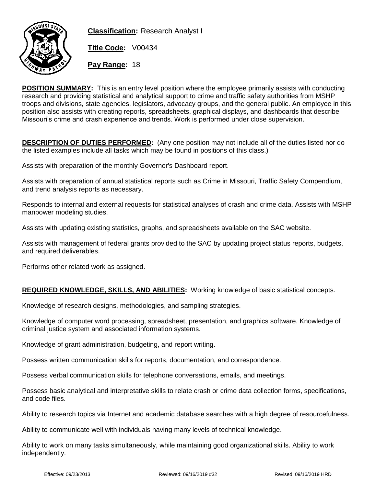

**Classification:** Research Analyst I

**Title Code:** V00434

**Pay Range:** 18

**POSITION SUMMARY:** This is an entry level position where the employee primarily assists with conducting research and providing statistical and analytical support to crime and traffic safety authorities from MSHP troops and divisions, state agencies, legislators, advocacy groups, and the general public. An employee in this position also assists with creating reports, spreadsheets, graphical displays, and dashboards that describe Missouri's crime and crash experience and trends. Work is performed under close supervision.

**DESCRIPTION OF DUTIES PERFORMED:** (Any one position may not include all of the duties listed nor do the listed examples include all tasks which may be found in positions of this class.)

Assists with preparation of the monthly Governor's Dashboard report.

Assists with preparation of annual statistical reports such as Crime in Missouri, Traffic Safety Compendium, and trend analysis reports as necessary.

Responds to internal and external requests for statistical analyses of crash and crime data. Assists with MSHP manpower modeling studies.

Assists with updating existing statistics, graphs, and spreadsheets available on the SAC website.

Assists with management of federal grants provided to the SAC by updating project status reports, budgets, and required deliverables.

Performs other related work as assigned.

## **REQUIRED KNOWLEDGE, SKILLS, AND ABILITIES:** Working knowledge of basic statistical concepts.

Knowledge of research designs, methodologies, and sampling strategies.

Knowledge of computer word processing, spreadsheet, presentation, and graphics software. Knowledge of criminal justice system and associated information systems.

Knowledge of grant administration, budgeting, and report writing.

Possess written communication skills for reports, documentation, and correspondence.

Possess verbal communication skills for telephone conversations, emails, and meetings.

Possess basic analytical and interpretative skills to relate crash or crime data collection forms, specifications, and code files.

Ability to research topics via Internet and academic database searches with a high degree of resourcefulness.

Ability to communicate well with individuals having many levels of technical knowledge.

Ability to work on many tasks simultaneously, while maintaining good organizational skills. Ability to work independently.